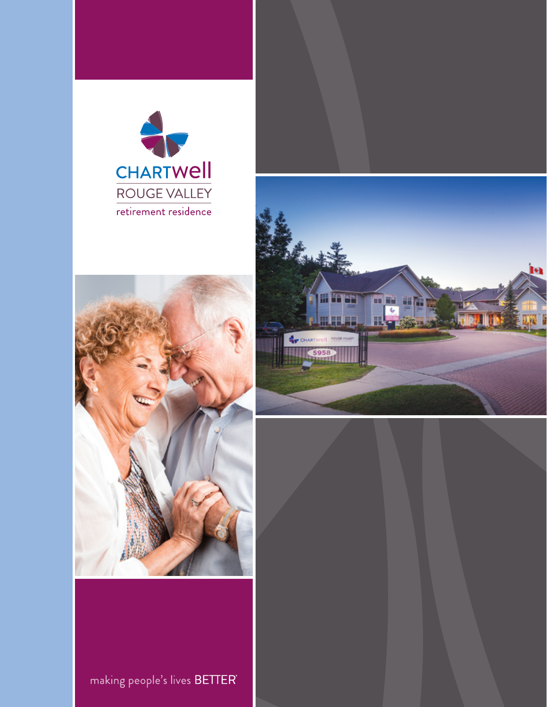





making people's lives BETTER'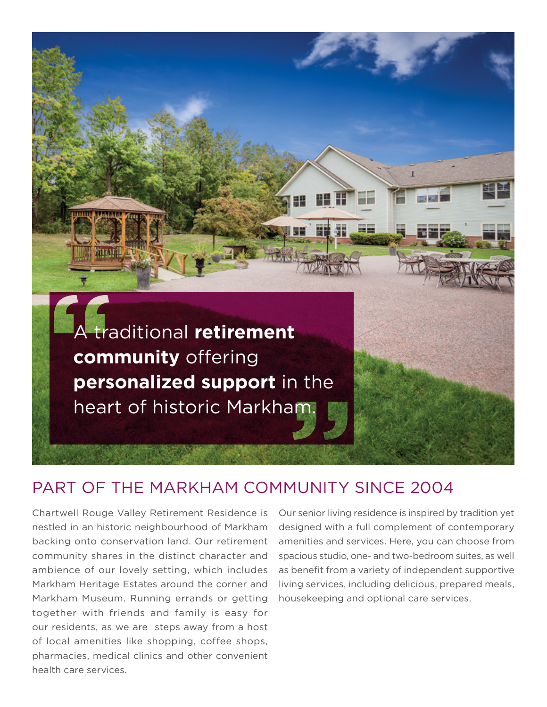

### PART OF THE MARKHAM COMMUNITY SINCE 2004

Chartwell Rouge Valley Retirement Residence is nestled in an historic neighbourhood of Markham backing onto conservation land. Our retirement community shares in the distinct character and ambience of our lovely setting, which includes Markham Heritage Estates around the corner and Markham Museum. Running errands or getting together with friends and family is easy for our residents, as we are steps away from a host of local amenities like shopping, coffee shops, pharmacies, medical clinics and other convenient health care services.

Our senior living residence is inspired by tradition yet designed with a full complement of contemporary amenities and services. Here, you can choose from spacious studio, one- and two-bedroom suites, as well as benefit from a variety of independent supportive living services, including delicious, prepared meals, housekeeping and optional care services.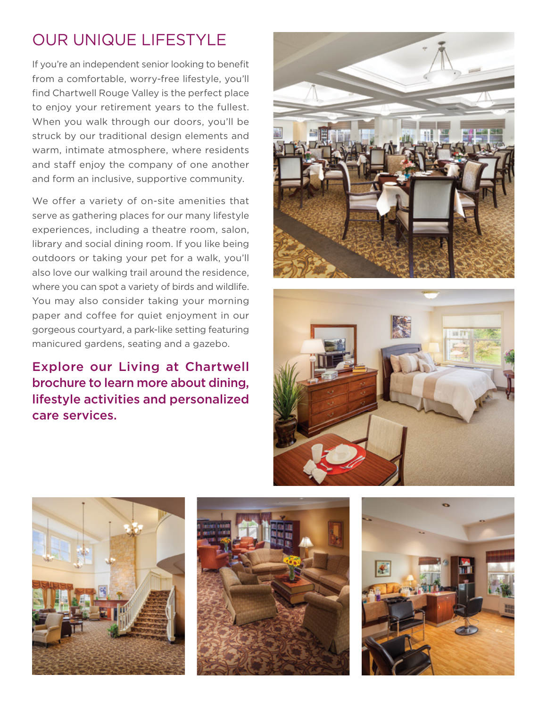# OUR UNIQUE LIFESTYLE

 When you walk through our doors, you'll be If you're an independent senior looking to benefit from a comfortable, worry-free lifestyle, you'll find Chartwell Rouge Valley is the perfect place to enjoy your retirement years to the fullest. struck by our traditional design elements and warm, intimate atmosphere, where residents and staff enjoy the company of one another and form an inclusive, supportive community.

We offer a variety of on-site amenities that serve as gathering places for our many lifestyle experiences, including a theatre room, salon, library and social dining room. If you like being outdoors or taking your pet for a walk, you'll also love our walking trail around the residence, where you can spot a variety of birds and wildlife. You may also consider taking your morning paper and coffee for quiet enjoyment in our gorgeous courtyard, a park-like setting featuring manicured gardens, seating and a gazebo.

Explore our Living at Chartwell brochure to learn more about dining, lifestyle activities and personalized care services.









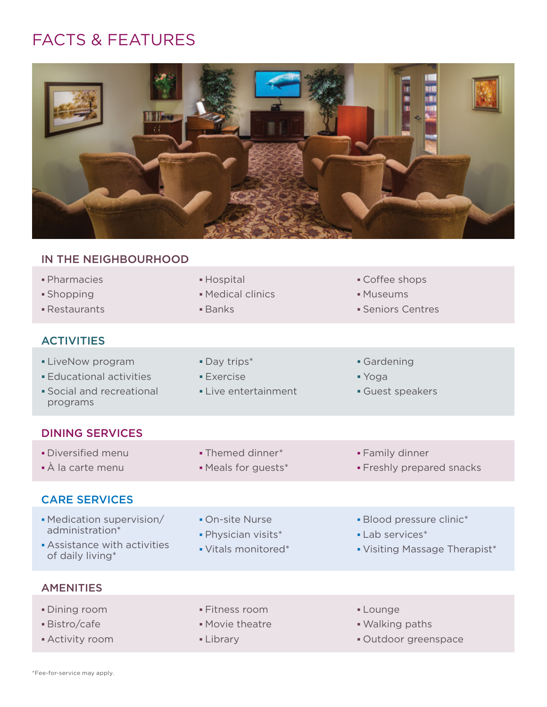## FACTS & FEATURES



#### IN THE NEIGHBOURHOOD

| · Pharmacies<br>· Shopping<br>• Restaurants                                                        | • Hospital<br>• Medical clinics<br><b>Banks</b>               | • Coffee shops<br>· Museums<br>• Seniors Centres                             |
|----------------------------------------------------------------------------------------------------|---------------------------------------------------------------|------------------------------------------------------------------------------|
| <b>ACTIVITIES</b>                                                                                  |                                                               |                                                                              |
| <b>- LiveNow program</b><br><b>Educational activities</b><br>• Social and recreational<br>programs | • Day trips*<br><b>Exercise</b><br>• Live entertainment       | • Gardening<br>$\blacktriangleright$ Yoga<br>Guest speakers                  |
| <b>DINING SERVICES</b>                                                                             |                                                               |                                                                              |
| · Diversified menu<br>• À la carte menu                                                            | • Themed dinner*<br>• Meals for guests*                       | • Family dinner<br>· Freshly prepared snacks                                 |
| <b>CARE SERVICES</b>                                                                               |                                                               |                                                                              |
| • Medication supervision/<br>administration*<br>Assistance with activities<br>of daily living*     | • On-site Nurse<br>· Physician visits*<br>• Vitals monitored* | • Blood pressure clinic*<br>• Lab services*<br>• Visiting Massage Therapist* |
| <b>AMENITIES</b>                                                                                   |                                                               |                                                                              |
| • Dining room<br>· Bistro/cafe<br>• Activity room                                                  | • Fitness room<br>• Movie theatre<br>• Library                | - Lounge<br>. Walking paths<br>· Outdoor greenspace                          |